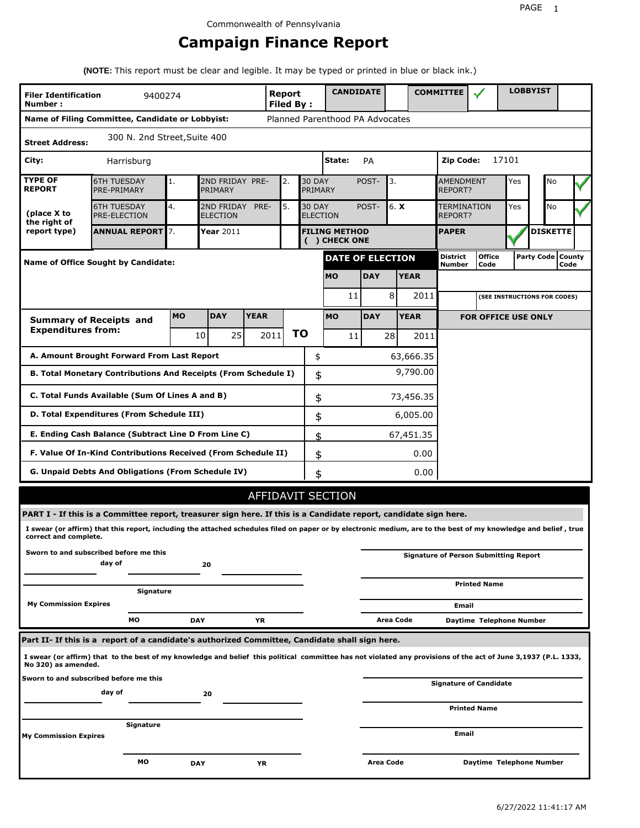# **Campaign Finance Report**

**(NOTE:** This report must be clear and legible. It may be typed or printed in blue or black ink.)

| <b>Filer Identification</b><br>Number: | 9400274                                                                                                                                                         |            |                               |             | Report<br><b>Filed By:</b> |    |                                  | <b>CANDIDATE</b>                      |            |                  |             | <b>COMMITTEE</b>              |                                              |       | <b>LOBBYIST</b>     |                 |  |
|----------------------------------------|-----------------------------------------------------------------------------------------------------------------------------------------------------------------|------------|-------------------------------|-------------|----------------------------|----|----------------------------------|---------------------------------------|------------|------------------|-------------|-------------------------------|----------------------------------------------|-------|---------------------|-----------------|--|
|                                        | Name of Filing Committee, Candidate or Lobbyist:                                                                                                                |            |                               |             |                            |    |                                  | Planned Parenthood PA Advocates       |            |                  |             |                               |                                              |       |                     |                 |  |
| <b>Street Address:</b>                 | 300 N. 2nd Street, Suite 400                                                                                                                                    |            |                               |             |                            |    |                                  |                                       |            |                  |             |                               |                                              |       |                     |                 |  |
| City:                                  | Harrisburg                                                                                                                                                      |            |                               |             |                            |    |                                  | State:                                | PA         |                  |             | Zip Code:                     |                                              | 17101 |                     |                 |  |
| <b>TYPE OF</b><br><b>REPORT</b>        | <b>6TH TUESDAY</b><br>PRE-PRIMARY                                                                                                                               | 1.         | 2ND FRIDAY PRE-<br>PRIMARY    |             | 2.                         |    | <b>30 DAY</b><br>PRIMARY         |                                       | POST-      | 3.               |             | <b>AMENDMENT</b><br>REPORT?   |                                              | Yes   |                     | No              |  |
| (place X to<br>the right of            | <b>6TH TUESDAY</b><br>PRE-ELECTION                                                                                                                              | 4.         | 2ND FRIDAY<br><b>ELECTION</b> | PRE-        | 5.                         |    | <b>30 DAY</b><br><b>ELECTION</b> |                                       | POST-      | 6. X             |             | <b>TERMINATION</b><br>REPORT? |                                              | Yes   |                     | No              |  |
| report type)                           | <b>ANNUAL REPORT</b> 7.                                                                                                                                         |            | Year $2011$                   |             |                            |    |                                  | <b>FILING METHOD</b><br>( ) CHECK ONE |            |                  |             | <b>PAPER</b>                  |                                              |       |                     | <b>DISKETTE</b> |  |
|                                        | <b>Name of Office Sought by Candidate:</b>                                                                                                                      |            |                               |             |                            |    |                                  | <b>DATE OF ELECTION</b>               |            |                  |             | <b>District</b><br>Number     | <b>Office</b><br>Code                        |       | Party Code   County | Code            |  |
|                                        |                                                                                                                                                                 |            |                               |             |                            |    |                                  | <b>MO</b>                             | <b>DAY</b> |                  | <b>YEAR</b> |                               |                                              |       |                     |                 |  |
|                                        |                                                                                                                                                                 |            |                               |             |                            |    |                                  | 11                                    |            | 8                | 2011        |                               | (SEE INSTRUCTIONS FOR CODES)                 |       |                     |                 |  |
|                                        | <b>Summary of Receipts and</b>                                                                                                                                  | <b>MO</b>  | <b>DAY</b>                    | <b>YEAR</b> |                            |    |                                  | <b>MO</b>                             | <b>DAY</b> |                  | <b>YEAR</b> |                               | <b>FOR OFFICE USE ONLY</b>                   |       |                     |                 |  |
| <b>Expenditures from:</b>              |                                                                                                                                                                 |            | 25<br>10                      |             | 2011                       | ΤO |                                  | 11                                    |            | 28               | 2011        |                               |                                              |       |                     |                 |  |
|                                        | A. Amount Brought Forward From Last Report                                                                                                                      |            |                               |             |                            |    | \$                               |                                       |            |                  | 63,666.35   |                               |                                              |       |                     |                 |  |
|                                        | B. Total Monetary Contributions And Receipts (From Schedule I)                                                                                                  |            |                               |             |                            |    | \$                               |                                       |            |                  | 9,790.00    |                               |                                              |       |                     |                 |  |
|                                        | C. Total Funds Available (Sum Of Lines A and B)                                                                                                                 |            |                               |             |                            |    | \$                               |                                       |            |                  | 73,456.35   |                               |                                              |       |                     |                 |  |
|                                        | D. Total Expenditures (From Schedule III)                                                                                                                       |            |                               |             |                            |    | \$                               |                                       |            |                  | 6,005.00    |                               |                                              |       |                     |                 |  |
|                                        | E. Ending Cash Balance (Subtract Line D From Line C)                                                                                                            |            |                               |             |                            |    | \$                               |                                       |            |                  | 67,451.35   |                               |                                              |       |                     |                 |  |
|                                        | F. Value Of In-Kind Contributions Received (From Schedule II)                                                                                                   |            |                               |             |                            |    | \$                               |                                       |            |                  | 0.00        |                               |                                              |       |                     |                 |  |
|                                        | <b>G. Unpaid Debts And Obligations (From Schedule IV)</b>                                                                                                       |            |                               |             |                            |    | \$                               |                                       |            |                  | 0.00        |                               |                                              |       |                     |                 |  |
|                                        |                                                                                                                                                                 |            |                               |             |                            |    |                                  | AFFIDAVIT SECTION                     |            |                  |             |                               |                                              |       |                     |                 |  |
|                                        | PART I - If this is a Committee report, treasurer sign here. If this is a Candidate report, candidate sign here.                                                |            |                               |             |                            |    |                                  |                                       |            |                  |             |                               |                                              |       |                     |                 |  |
| correct and complete.                  | I swear (or affirm) that this report, including the attached schedules filed on paper or by electronic medium, are to the best of my knowledge and belief, true |            |                               |             |                            |    |                                  |                                       |            |                  |             |                               |                                              |       |                     |                 |  |
|                                        | Sworn to and subscribed before me this<br>day of                                                                                                                |            | 20                            |             |                            |    |                                  |                                       |            |                  |             |                               | <b>Signature of Person Submitting Report</b> |       |                     |                 |  |
|                                        | Signature                                                                                                                                                       |            |                               |             |                            |    |                                  |                                       |            |                  |             |                               | <b>Printed Name</b>                          |       |                     |                 |  |
| <b>My Commission Expires</b>           |                                                                                                                                                                 |            |                               |             |                            |    |                                  |                                       |            |                  |             | Email                         |                                              |       |                     |                 |  |
|                                        | MО                                                                                                                                                              | <b>DAY</b> |                               | YR          |                            |    |                                  |                                       |            | <b>Area Code</b> |             |                               | Daytime Telephone Number                     |       |                     |                 |  |
|                                        | Part II- If this is a report of a candidate's authorized Committee, Candidate shall sign here.                                                                  |            |                               |             |                            |    |                                  |                                       |            |                  |             |                               |                                              |       |                     |                 |  |
| No 320) as amended.                    | I swear (or affirm) that to the best of my knowledge and belief this political committee has not violated any provisions of the act of June 3,1937 (P.L. 1333,  |            |                               |             |                            |    |                                  |                                       |            |                  |             |                               |                                              |       |                     |                 |  |
|                                        | Sworn to and subscribed before me this<br>day of                                                                                                                |            | 20                            |             |                            |    |                                  |                                       |            |                  |             |                               | Signature of Candidate                       |       |                     |                 |  |
|                                        |                                                                                                                                                                 |            |                               |             |                            |    |                                  |                                       |            |                  |             |                               | <b>Printed Name</b>                          |       |                     |                 |  |
| <b>My Commission Expires</b>           | Signature                                                                                                                                                       |            |                               |             |                            |    |                                  |                                       |            |                  |             | Email                         |                                              |       |                     |                 |  |
|                                        | МO                                                                                                                                                              | <b>DAY</b> |                               | ΥR          |                            |    |                                  |                                       | Area Code  |                  |             |                               | Daytime Telephone Number                     |       |                     |                 |  |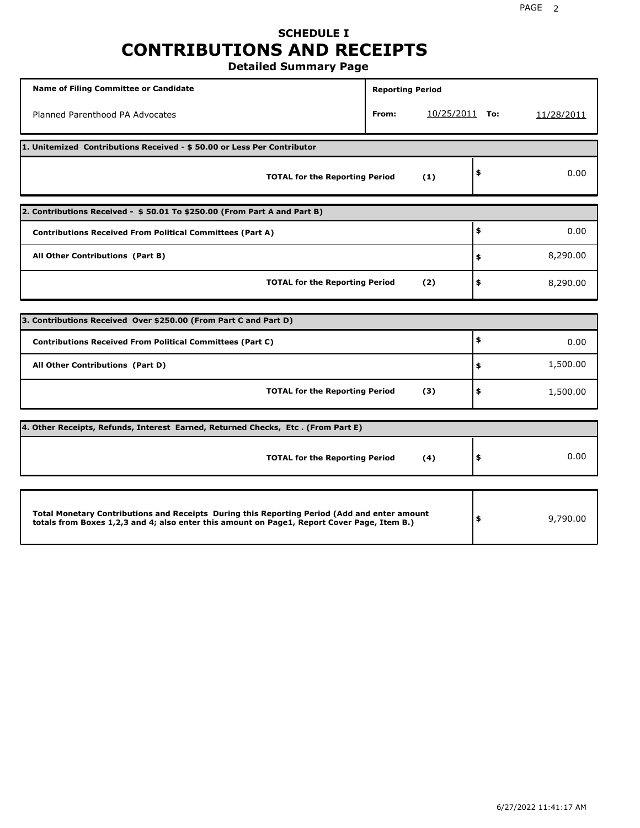## **SCHEDULE I CONTRIBUTIONS AND RECEIPTS Detailed Summary Page**

**Name of Filing Committee or Candidate Reporting Period Reporting Period** Planned Parenthood PA Advocates **From:** 10/25/2011 **To:** 11/28/2011 **1. Unitemized Contributions Received - \$ 50.00 or Less Per Contributor TOTAL for the Reporting Period (1) \$** 0.00 **2. Contributions Received - \$ 50.01 To \$250.00 (From Part A and Part B) TOTAL for the Reporting Period (2) Contributions Received From Political Committees (Part A) All Other Contributions (Part B) \$ \$ \$** 0.00 8,290.00 8,290.00 **3. Contributions Received Over \$250.00 (From Part C and Part D) TOTAL for the Reporting Period (3) Contributions Received From Political Committees (Part C) All Other Contributions (Part D) \$ \$ \$** 0.00 1,500.00 1,500.00 **4. Other Receipts, Refunds, Interest Earned, Returned Checks, Etc . (From Part E) TOTAL for the Reporting Period (4) \$** 0.00 **Total Monetary Contributions and Receipts During this Reporting Period (Add and enter amount totals from Boxes 1,2,3 and 4; also enter this amount on Page1, Report Cover Page, Item B.) \$** 9,790.00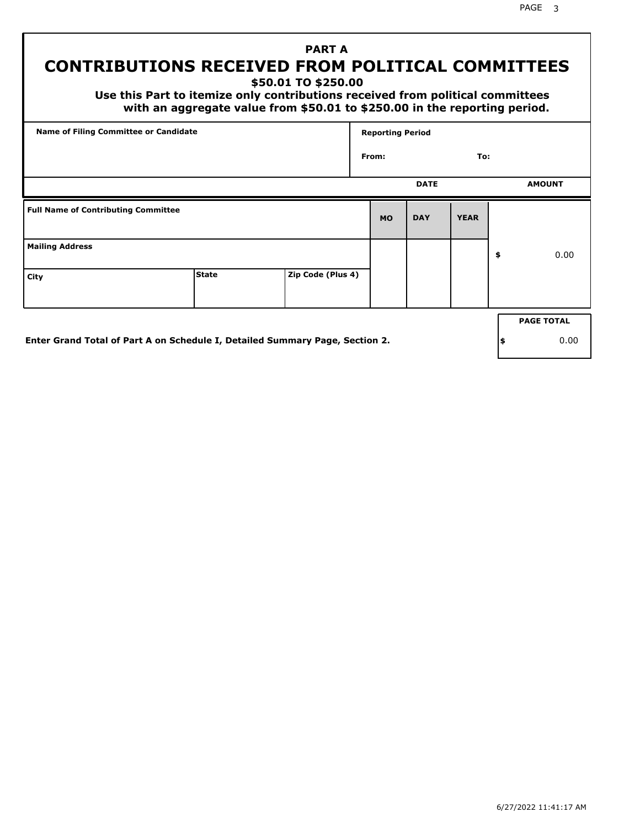# **PART A CONTRIBUTIONS RECEIVED FROM POLITICAL COMMITTEES**

**\$50.01 TO \$250.00**

 **Use this Part to itemize only contributions received from political committees with an aggregate value from \$50.01 to \$250.00 in the reporting period.**

| From:     | <b>DATE</b> | To:         |                   |
|-----------|-------------|-------------|-------------------|
|           |             |             |                   |
|           |             |             | <b>AMOUNT</b>     |
| <b>MO</b> | <b>DAY</b>  | <b>YEAR</b> |                   |
|           |             |             | \$<br>0.00        |
|           |             |             |                   |
|           |             |             | <b>PAGE TOTAL</b> |
|           |             |             |                   |

**Enter Grand Total of Part A on Schedule I, Detailed Summary Page, Section 2.**

**\$** 0.00

PAGE 3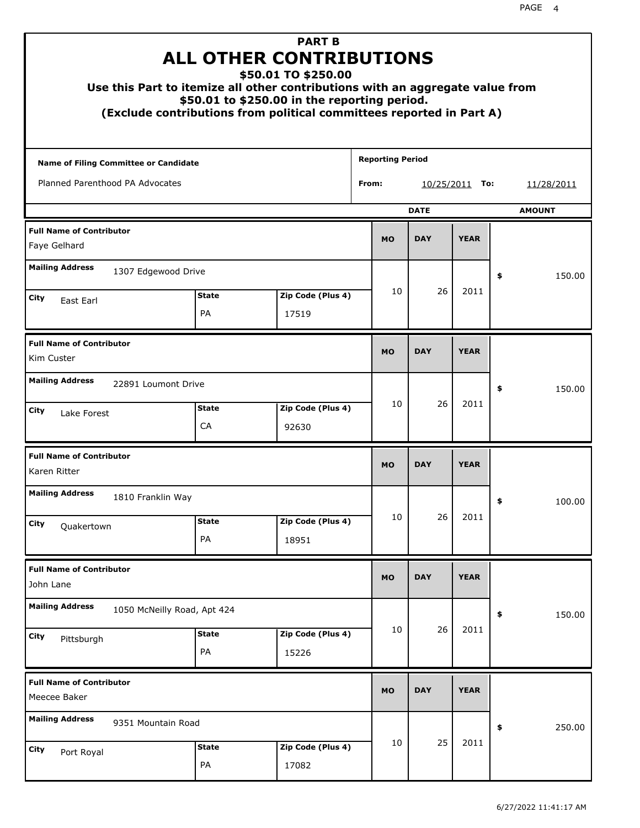| Use this Part to itemize all other contributions with an aggregate value from |                    | <b>PART B</b><br><b>ALL OTHER CONTRIBUTIONS</b><br>\$50.01 TO \$250.00<br>\$50.01 to \$250.00 in the reporting period.<br>(Exclude contributions from political committees reported in Part A) |                         |             |             |    |               |
|-------------------------------------------------------------------------------|--------------------|------------------------------------------------------------------------------------------------------------------------------------------------------------------------------------------------|-------------------------|-------------|-------------|----|---------------|
| Name of Filing Committee or Candidate                                         |                    |                                                                                                                                                                                                | <b>Reporting Period</b> |             |             |    |               |
| Planned Parenthood PA Advocates                                               |                    |                                                                                                                                                                                                | From:                   | 10/25/2011  | To:         |    | 11/28/2011    |
|                                                                               |                    |                                                                                                                                                                                                |                         | <b>DATE</b> |             |    | <b>AMOUNT</b> |
| <b>Full Name of Contributor</b><br>Faye Gelhard                               |                    |                                                                                                                                                                                                | <b>MO</b>               | <b>DAY</b>  | <b>YEAR</b> |    |               |
| <b>Mailing Address</b><br>1307 Edgewood Drive                                 |                    |                                                                                                                                                                                                |                         |             |             | \$ | 150.00        |
| City<br>East Earl                                                             | <b>State</b>       | Zip Code (Plus 4)                                                                                                                                                                              | 10                      | 26          | 2011        |    |               |
|                                                                               | PA                 | 17519                                                                                                                                                                                          |                         |             |             |    |               |
| <b>Full Name of Contributor</b><br>Kim Custer                                 |                    |                                                                                                                                                                                                | <b>MO</b>               | <b>DAY</b>  | <b>YEAR</b> |    |               |
| <b>Mailing Address</b><br>22891 Loumont Drive                                 |                    |                                                                                                                                                                                                |                         |             |             | \$ | 150.00        |
| City<br>Lake Forest                                                           | <b>State</b><br>CA | Zip Code (Plus 4)<br>92630                                                                                                                                                                     | 10                      | 26          | 2011        |    |               |
| <b>Full Name of Contributor</b><br>Karen Ritter                               |                    |                                                                                                                                                                                                | <b>MO</b>               | <b>DAY</b>  | <b>YEAR</b> |    |               |
| <b>Mailing Address</b><br>1810 Franklin Way                                   |                    |                                                                                                                                                                                                |                         |             |             | Ş  | 100.00        |
| City<br>Quakertown                                                            | <b>State</b><br>PA | Zip Code (Plus 4)<br>18951                                                                                                                                                                     | 10                      | 26          | 2011        |    |               |
| <b>Full Name of Contributor</b><br>John Lane                                  |                    |                                                                                                                                                                                                | <b>MO</b>               | <b>DAY</b>  | <b>YEAR</b> |    |               |
| <b>Mailing Address</b><br>1050 McNeilly Road, Apt 424                         |                    |                                                                                                                                                                                                |                         |             |             | \$ | 150.00        |
| City<br>Pittsburgh                                                            | <b>State</b><br>PA | Zip Code (Plus 4)<br>15226                                                                                                                                                                     | 10                      | 26          | 2011        |    |               |
| <b>Full Name of Contributor</b><br>Meecee Baker                               |                    |                                                                                                                                                                                                | <b>MO</b>               | <b>DAY</b>  | <b>YEAR</b> |    |               |
| <b>Mailing Address</b><br>9351 Mountain Road                                  |                    |                                                                                                                                                                                                |                         |             |             | \$ | 250.00        |
| City<br>Port Royal                                                            | <b>State</b><br>PA | Zip Code (Plus 4)<br>17082                                                                                                                                                                     | 10                      | 25          | 2011        |    |               |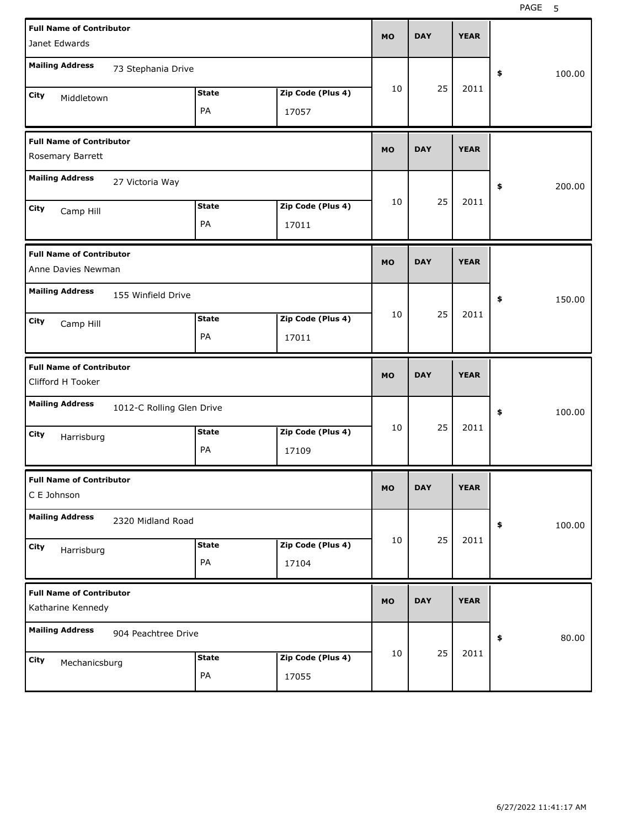| <b>Full Name of Contributor</b><br>Janet Edwards |                           |                    |                            | <b>MO</b> | <b>DAY</b> | <b>YEAR</b> |              |
|--------------------------------------------------|---------------------------|--------------------|----------------------------|-----------|------------|-------------|--------------|
|                                                  |                           |                    |                            |           |            |             |              |
| <b>Mailing Address</b>                           | 73 Stephania Drive        |                    |                            |           |            |             | \$<br>100.00 |
| City<br>Middletown                               |                           | <b>State</b>       | Zip Code (Plus 4)          | 10        | 25         | 2011        |              |
|                                                  |                           | PA                 | 17057                      |           |            |             |              |
| <b>Full Name of Contributor</b>                  |                           |                    |                            | <b>MO</b> | <b>DAY</b> | <b>YEAR</b> |              |
| Rosemary Barrett                                 |                           |                    |                            |           |            |             |              |
| <b>Mailing Address</b>                           | 27 Victoria Way           |                    |                            |           |            |             | \$<br>200.00 |
| City<br>Camp Hill                                |                           | <b>State</b>       | Zip Code (Plus 4)          | 10        | 25         | 2011        |              |
|                                                  |                           | PA                 | 17011                      |           |            |             |              |
| <b>Full Name of Contributor</b>                  |                           |                    |                            | <b>MO</b> | <b>DAY</b> | <b>YEAR</b> |              |
| Anne Davies Newman                               |                           |                    |                            |           |            |             |              |
| <b>Mailing Address</b>                           | 155 Winfield Drive        |                    |                            |           |            |             | \$<br>150.00 |
| City<br>Camp Hill                                |                           | <b>State</b>       | Zip Code (Plus 4)          | 10        | 25         | 2011        |              |
|                                                  |                           | PA                 | 17011                      |           |            |             |              |
|                                                  |                           |                    |                            |           |            |             |              |
| <b>Full Name of Contributor</b>                  |                           |                    |                            | <b>MO</b> | <b>DAY</b> | <b>YEAR</b> |              |
| Clifford H Tooker                                |                           |                    |                            |           |            |             |              |
| <b>Mailing Address</b>                           | 1012-C Rolling Glen Drive |                    |                            |           |            |             | \$<br>100.00 |
| City                                             |                           | <b>State</b>       | Zip Code (Plus 4)          | 10        | 25         | 2011        |              |
| Harrisburg                                       |                           | PA                 | 17109                      |           |            |             |              |
| <b>Full Name of Contributor</b>                  |                           |                    |                            |           | <b>DAY</b> | <b>YEAR</b> |              |
| C E Johnson                                      |                           |                    |                            | MO        |            |             |              |
| <b>Mailing Address</b>                           | 2320 Midland Road         |                    |                            |           |            |             | \$<br>100.00 |
| City<br>Harrisburg                               |                           | <b>State</b>       | Zip Code (Plus 4)          | 10        | 25         | 2011        |              |
|                                                  |                           | PA                 | 17104                      |           |            |             |              |
| <b>Full Name of Contributor</b>                  |                           |                    |                            | <b>MO</b> | <b>DAY</b> | <b>YEAR</b> |              |
| Katharine Kennedy                                |                           |                    |                            |           |            |             |              |
| <b>Mailing Address</b>                           | 904 Peachtree Drive       |                    |                            |           |            |             | \$<br>80.00  |
| City<br>Mechanicsburg                            |                           | <b>State</b><br>PA | Zip Code (Plus 4)<br>17055 | 10        | 25         | 2011        |              |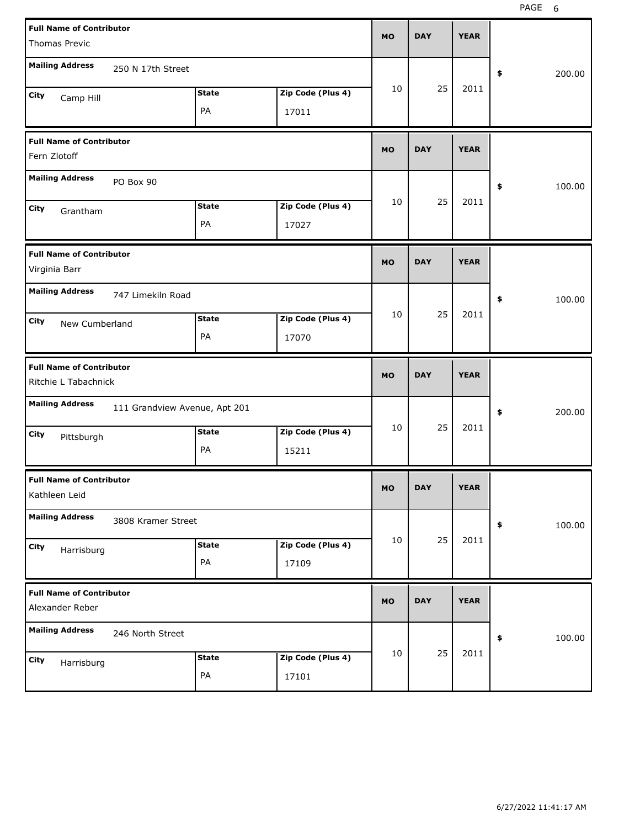| <b>Full Name of Contributor</b>                         |                               |              |                   | <b>MO</b> | <b>DAY</b> | <b>YEAR</b> |              |  |
|---------------------------------------------------------|-------------------------------|--------------|-------------------|-----------|------------|-------------|--------------|--|
| Thomas Previc                                           |                               |              |                   |           |            |             |              |  |
| <b>Mailing Address</b>                                  | 250 N 17th Street             |              |                   |           |            |             | \$<br>200.00 |  |
| City<br>Camp Hill                                       |                               | <b>State</b> | Zip Code (Plus 4) | 10        | 25         | 2011        |              |  |
|                                                         |                               | PA           | 17011             |           |            |             |              |  |
| <b>Full Name of Contributor</b><br>Fern Zlotoff         |                               |              |                   | <b>MO</b> | <b>DAY</b> | <b>YEAR</b> |              |  |
| <b>Mailing Address</b>                                  | PO Box 90                     |              |                   |           |            |             | \$<br>100.00 |  |
| City<br>Grantham                                        |                               | <b>State</b> | Zip Code (Plus 4) | 10        | 25         | 2011        |              |  |
|                                                         |                               | PA           | 17027             |           |            |             |              |  |
| <b>Full Name of Contributor</b><br>Virginia Barr        |                               |              |                   | <b>MO</b> | <b>DAY</b> | <b>YEAR</b> |              |  |
| <b>Mailing Address</b>                                  | 747 Limekiln Road             |              |                   |           |            |             | \$<br>100.00 |  |
| City<br>New Cumberland                                  |                               | <b>State</b> | Zip Code (Plus 4) | 10        | 25         | 2011        |              |  |
|                                                         |                               | PA           | 17070             |           |            |             |              |  |
|                                                         |                               |              |                   |           |            |             |              |  |
| <b>Full Name of Contributor</b><br>Ritchie L Tabachnick |                               |              |                   | <b>MO</b> | <b>DAY</b> | <b>YEAR</b> |              |  |
| <b>Mailing Address</b>                                  | 111 Grandview Avenue, Apt 201 |              |                   |           |            |             | \$<br>200.00 |  |
| City                                                    |                               | <b>State</b> | Zip Code (Plus 4) | 10        | 25         | 2011        |              |  |
| Pittsburgh                                              |                               | PA           | 15211             |           |            |             |              |  |
| <b>Full Name of Contributor</b><br>Kathleen Leid        |                               |              |                   | мo        | <b>DAY</b> | <b>YEAR</b> |              |  |
| <b>Mailing Address</b>                                  | 3808 Kramer Street            |              |                   |           |            |             | \$<br>100.00 |  |
| City                                                    |                               | <b>State</b> | Zip Code (Plus 4) | 10        | 25         | 2011        |              |  |
| Harrisburg                                              |                               | PA           | 17109             |           |            |             |              |  |
| <b>Full Name of Contributor</b><br>Alexander Reber      |                               |              |                   | <b>MO</b> | <b>DAY</b> | <b>YEAR</b> |              |  |
| <b>Mailing Address</b>                                  | 246 North Street              |              |                   |           |            |             | 100.00<br>\$ |  |
| City<br>Harrisburg                                      |                               | <b>State</b> | Zip Code (Plus 4) | 10        | 25         | 2011        |              |  |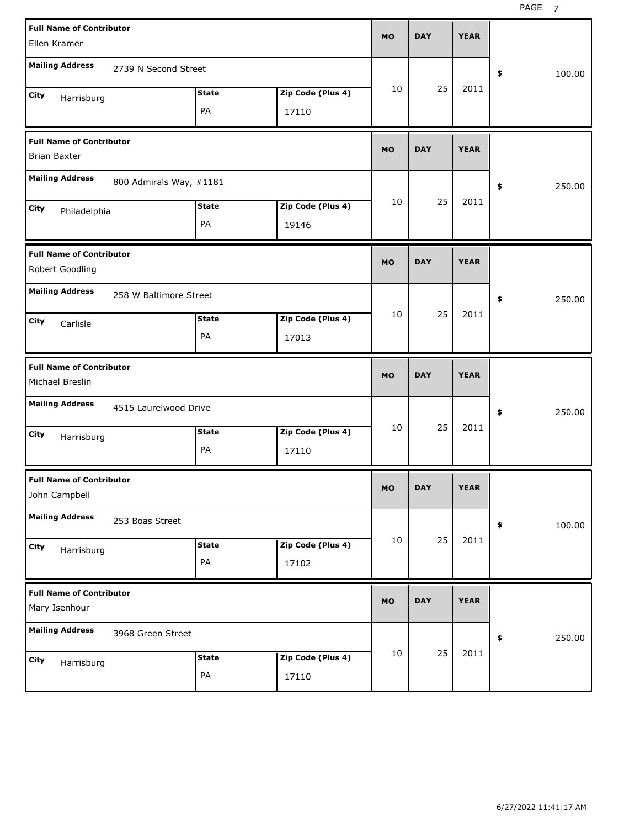| <b>Full Name of Contributor</b><br>Ellen Kramer        |                         |                    |                            | <b>MO</b> | <b>DAY</b> | <b>YEAR</b> |              |
|--------------------------------------------------------|-------------------------|--------------------|----------------------------|-----------|------------|-------------|--------------|
| <b>Mailing Address</b>                                 | 2739 N Second Street    |                    |                            |           |            |             | 100.00<br>\$ |
| City<br>Harrisburg                                     |                         | <b>State</b><br>PA | Zip Code (Plus 4)<br>17110 | 10        | 25         | 2011        |              |
| <b>Full Name of Contributor</b><br><b>Brian Baxter</b> |                         |                    |                            | <b>MO</b> | <b>DAY</b> | <b>YEAR</b> |              |
| <b>Mailing Address</b>                                 | 800 Admirals Way, #1181 |                    |                            |           |            |             | 250.00<br>\$ |
| City<br>Philadelphia                                   |                         | <b>State</b><br>PA | Zip Code (Plus 4)<br>19146 | 10        | 25         | 2011        |              |
| <b>Full Name of Contributor</b><br>Robert Goodling     |                         |                    |                            | <b>MO</b> | <b>DAY</b> | <b>YEAR</b> |              |
| <b>Mailing Address</b>                                 | 258 W Baltimore Street  |                    |                            | 10        | 25         | 2011        | 250.00<br>\$ |
| City<br>Carlisle                                       |                         | <b>State</b><br>PA | Zip Code (Plus 4)<br>17013 |           |            |             |              |
|                                                        |                         |                    |                            |           |            |             |              |
| <b>Full Name of Contributor</b><br>Michael Breslin     |                         |                    |                            | <b>MO</b> | <b>DAY</b> | <b>YEAR</b> |              |
| <b>Mailing Address</b>                                 | 4515 Laurelwood Drive   |                    |                            |           |            |             | 250.00<br>\$ |
| City<br>Harrisburg                                     |                         | <b>State</b><br>PA | Zip Code (Plus 4)<br>17110 | 10        | 25         | 2011        |              |
| <b>Full Name of Contributor</b><br>John Campbell       |                         |                    |                            | МO        | <b>DAY</b> | <b>YEAR</b> |              |
| <b>Mailing Address</b>                                 | 253 Boas Street         |                    |                            |           |            |             | \$<br>100.00 |
| City<br>Harrisburg                                     |                         | <b>State</b><br>PA | Zip Code (Plus 4)<br>17102 | 10        | 25         | 2011        |              |
| <b>Full Name of Contributor</b><br>Mary Isenhour       |                         |                    |                            | <b>MO</b> | <b>DAY</b> | <b>YEAR</b> |              |
| <b>Mailing Address</b>                                 | 3968 Green Street       |                    |                            | 10        | 25         | 2011        | 250.00<br>\$ |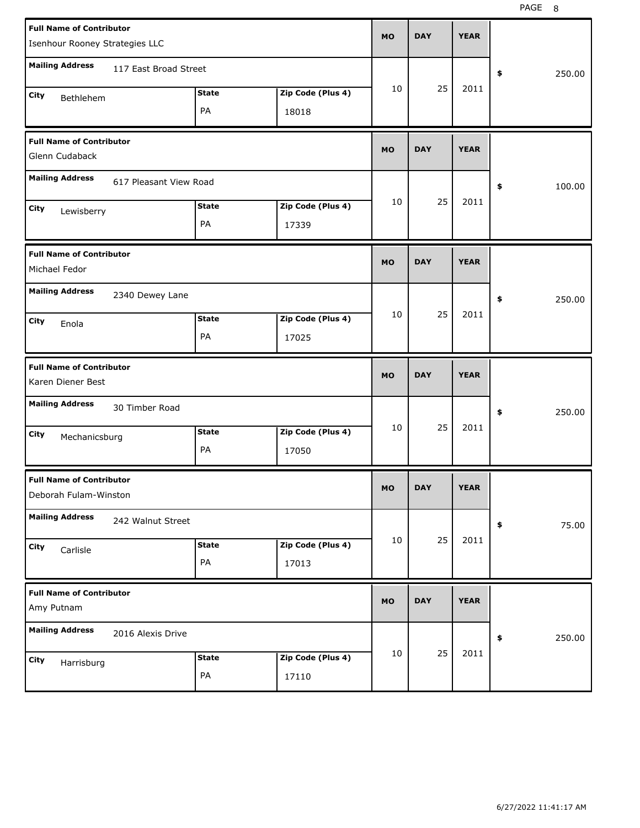PAGE 8

| <b>Full Name of Contributor</b>                          |                        |              |                   | <b>MO</b> | <b>DAY</b> | <b>YEAR</b> |              |
|----------------------------------------------------------|------------------------|--------------|-------------------|-----------|------------|-------------|--------------|
| Isenhour Rooney Strategies LLC                           |                        |              |                   |           |            |             |              |
| <b>Mailing Address</b>                                   | 117 East Broad Street  |              |                   |           |            |             | \$<br>250.00 |
| City<br>Bethlehem                                        |                        | <b>State</b> | Zip Code (Plus 4) | 10        | 25         | 2011        |              |
|                                                          |                        | PA           | 18018             |           |            |             |              |
| <b>Full Name of Contributor</b><br>Glenn Cudaback        |                        |              |                   | <b>MO</b> | <b>DAY</b> | <b>YEAR</b> |              |
| <b>Mailing Address</b>                                   | 617 Pleasant View Road |              |                   |           |            |             | \$<br>100.00 |
| City<br>Lewisberry                                       |                        | <b>State</b> | Zip Code (Plus 4) | 10        | 25         | 2011        |              |
|                                                          |                        | PA           | 17339             |           |            |             |              |
| <b>Full Name of Contributor</b><br>Michael Fedor         |                        |              |                   | <b>MO</b> | <b>DAY</b> | <b>YEAR</b> |              |
| <b>Mailing Address</b>                                   | 2340 Dewey Lane        |              |                   |           |            |             | \$<br>250.00 |
| City<br>Enola                                            |                        | <b>State</b> | Zip Code (Plus 4) | 10        | 25         | 2011        |              |
|                                                          |                        | PA           | 17025             |           |            |             |              |
|                                                          |                        |              |                   |           |            |             |              |
| <b>Full Name of Contributor</b><br>Karen Diener Best     |                        |              |                   | <b>MO</b> | <b>DAY</b> | <b>YEAR</b> |              |
| <b>Mailing Address</b>                                   | 30 Timber Road         |              |                   |           |            |             | \$<br>250.00 |
| City                                                     |                        | <b>State</b> | Zip Code (Plus 4) | 10        | 25         | 2011        |              |
| Mechanicsburg                                            |                        | PA           | 17050             |           |            |             |              |
| <b>Full Name of Contributor</b><br>Deborah Fulam-Winston |                        |              |                   | MO        | <b>DAY</b> | <b>YEAR</b> |              |
| <b>Mailing Address</b>                                   | 242 Walnut Street      |              |                   |           |            |             | \$<br>75.00  |
| City                                                     |                        | <b>State</b> | Zip Code (Plus 4) | 10        | 25         | 2011        |              |
| Carlisle                                                 |                        | PA           | 17013             |           |            |             |              |
| <b>Full Name of Contributor</b><br>Amy Putnam            |                        |              |                   | <b>MO</b> | <b>DAY</b> | <b>YEAR</b> |              |
| <b>Mailing Address</b>                                   | 2016 Alexis Drive      |              |                   |           |            |             | \$<br>250.00 |
| City<br>Harrisburg                                       |                        | <b>State</b> | Zip Code (Plus 4) | 10        | 25         | 2011        |              |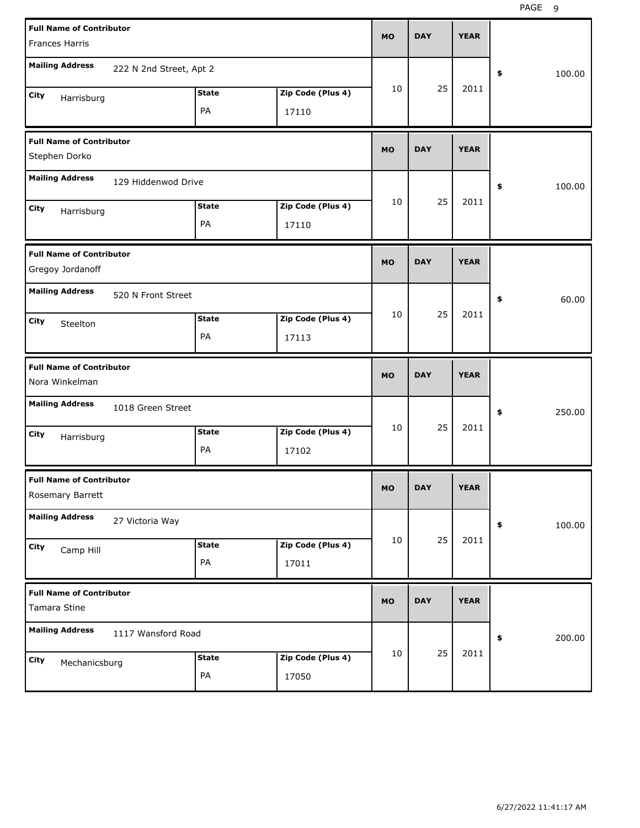| <b>Full Name of Contributor</b><br><b>Frances Harris</b> |                         |              |                   | <b>MO</b> | <b>DAY</b> | <b>YEAR</b> |              |
|----------------------------------------------------------|-------------------------|--------------|-------------------|-----------|------------|-------------|--------------|
| <b>Mailing Address</b>                                   | 222 N 2nd Street, Apt 2 |              |                   |           |            |             | \$<br>100.00 |
| City<br>Harrisburg                                       |                         | <b>State</b> | Zip Code (Plus 4) | 10        | 25         | 2011        |              |
|                                                          |                         | PA           | 17110             |           |            |             |              |
| <b>Full Name of Contributor</b><br>Stephen Dorko         |                         |              |                   | <b>MO</b> | <b>DAY</b> | <b>YEAR</b> |              |
| <b>Mailing Address</b>                                   | 129 Hiddenwod Drive     |              |                   |           |            |             | \$<br>100.00 |
| City<br>Harrisburg                                       |                         | <b>State</b> | Zip Code (Plus 4) | 10        | 25         | 2011        |              |
|                                                          |                         | PA           | 17110             |           |            |             |              |
| <b>Full Name of Contributor</b><br>Gregoy Jordanoff      |                         |              |                   | <b>MO</b> | <b>DAY</b> | <b>YEAR</b> |              |
| <b>Mailing Address</b>                                   | 520 N Front Street      |              |                   |           |            |             | \$<br>60.00  |
| City<br>Steelton                                         |                         | <b>State</b> | Zip Code (Plus 4) | 10        | 25         | 2011        |              |
|                                                          |                         | PA           | 17113             |           |            |             |              |
|                                                          |                         |              |                   |           |            |             |              |
| <b>Full Name of Contributor</b><br>Nora Winkelman        |                         |              |                   | <b>MO</b> | <b>DAY</b> | <b>YEAR</b> |              |
| <b>Mailing Address</b>                                   | 1018 Green Street       |              |                   |           |            |             | \$<br>250.00 |
| City                                                     |                         | <b>State</b> | Zip Code (Plus 4) | 10        | 25         | 2011        |              |
| Harrisburg                                               |                         | PA           | 17102             |           |            |             |              |
| <b>Full Name of Contributor</b><br>Rosemary Barrett      |                         |              |                   | МO        | DAY        | <b>YEAR</b> |              |
| <b>Mailing Address</b>                                   | 27 Victoria Way         |              |                   |           |            |             | \$<br>100.00 |
| City                                                     |                         | <b>State</b> | Zip Code (Plus 4) | 10        | 25         | 2011        |              |
| Camp Hill                                                |                         | PA           | 17011             |           |            |             |              |
| <b>Full Name of Contributor</b><br>Tamara Stine          |                         |              |                   | <b>MO</b> | <b>DAY</b> | <b>YEAR</b> |              |
| <b>Mailing Address</b>                                   | 1117 Wansford Road      |              |                   |           |            |             | 200.00<br>\$ |
| City<br>Mechanicsburg                                    |                         | <b>State</b> | Zip Code (Plus 4) | 10        | 25         | 2011        |              |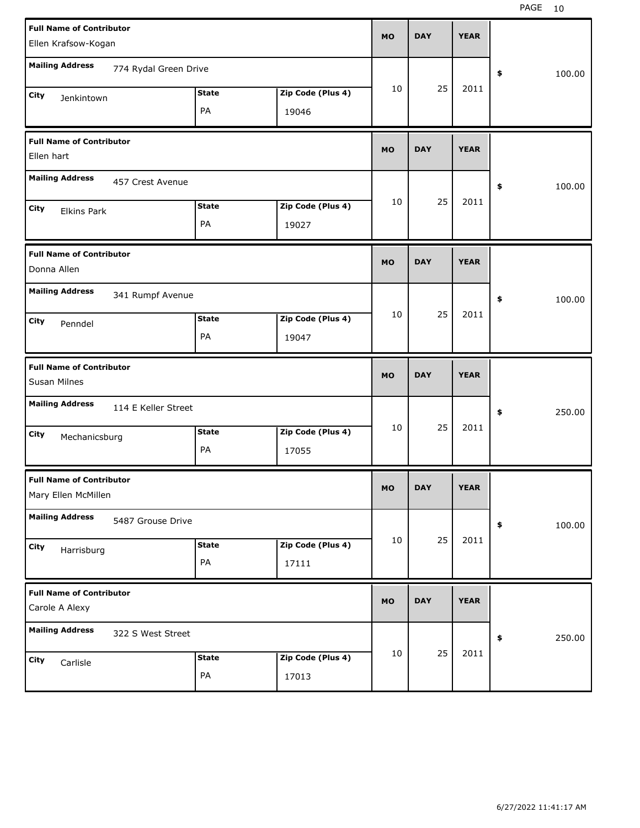| <b>Full Name of Contributor</b><br>Ellen Krafsow-Kogan |              |                   | <b>MO</b> | <b>DAY</b> | <b>YEAR</b> |              |  |
|--------------------------------------------------------|--------------|-------------------|-----------|------------|-------------|--------------|--|
| <b>Mailing Address</b><br>774 Rydal Green Drive        |              |                   |           |            |             |              |  |
|                                                        | <b>State</b> | Zip Code (Plus 4) | 10        | 25         | 2011        | \$<br>100.00 |  |
| City<br>Jenkintown                                     | PA           | 19046             |           |            |             |              |  |
| <b>Full Name of Contributor</b>                        |              |                   |           |            |             |              |  |
| Ellen hart                                             |              |                   | <b>MO</b> | <b>DAY</b> | <b>YEAR</b> |              |  |
| <b>Mailing Address</b><br>457 Crest Avenue             |              |                   |           |            |             | \$<br>100.00 |  |
| City<br><b>Elkins Park</b>                             | <b>State</b> | Zip Code (Plus 4) | 10        | 25         | 2011        |              |  |
|                                                        | PA           | 19027             |           |            |             |              |  |
| <b>Full Name of Contributor</b>                        |              |                   | <b>MO</b> | <b>DAY</b> | <b>YEAR</b> |              |  |
| Donna Allen                                            |              |                   |           |            |             |              |  |
| <b>Mailing Address</b><br>341 Rumpf Avenue             |              |                   |           |            |             | \$<br>100.00 |  |
| <b>City</b><br>Penndel                                 | <b>State</b> | Zip Code (Plus 4) | 10        | 25         | 2011        |              |  |
|                                                        | PA           | 19047             |           |            |             |              |  |
|                                                        |              |                   |           |            |             |              |  |
| <b>Full Name of Contributor</b><br>Susan Milnes        |              |                   | <b>MO</b> | <b>DAY</b> | <b>YEAR</b> |              |  |
| <b>Mailing Address</b><br>114 E Keller Street          |              |                   |           |            |             | 250.00<br>\$ |  |
| <b>City</b>                                            | <b>State</b> | Zip Code (Plus 4) | 10        | 25         | 2011        |              |  |
| Mechanicsburg                                          | PA           | 17055             |           |            |             |              |  |
| <b>Full Name of Contributor</b><br>Mary Ellen McMillen |              |                   | <b>MO</b> | <b>DAY</b> | <b>YEAR</b> |              |  |
| <b>Mailing Address</b><br>5487 Grouse Drive            |              |                   |           |            |             | \$<br>100.00 |  |
| City                                                   | <b>State</b> | Zip Code (Plus 4) | 10        | 25         | 2011        |              |  |
| Harrisburg                                             | PA           | 17111             |           |            |             |              |  |
| <b>Full Name of Contributor</b><br>Carole A Alexy      |              |                   | <b>MO</b> | <b>DAY</b> | <b>YEAR</b> |              |  |
| <b>Mailing Address</b><br>322 S West Street            |              |                   |           |            |             | \$<br>250.00 |  |
| City<br>Carlisle                                       | <b>State</b> | Zip Code (Plus 4) | 10        | 25         | 2011        |              |  |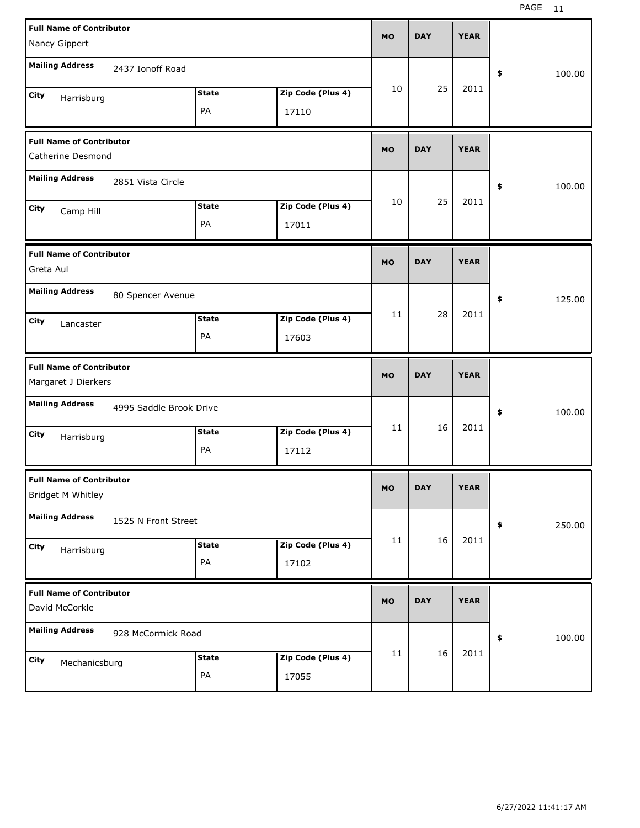| <b>Full Name of Contributor</b><br>Nancy Gippert                       | <b>MO</b> | <b>DAY</b> | <b>YEAR</b> |              |
|------------------------------------------------------------------------|-----------|------------|-------------|--------------|
| <b>Mailing Address</b><br>2437 Ionoff Road                             |           |            |             | \$<br>100.00 |
| Zip Code (Plus 4)<br><b>State</b><br>City<br>Harrisburg<br>PA<br>17110 | 10        | 25         | 2011        |              |
| <b>Full Name of Contributor</b><br>Catherine Desmond                   | <b>MO</b> | <b>DAY</b> | <b>YEAR</b> |              |
| <b>Mailing Address</b><br>2851 Vista Circle                            |           |            |             | \$<br>100.00 |
| Zip Code (Plus 4)<br><b>State</b><br>City<br>Camp Hill<br>PA<br>17011  | 10        | 25         | 2011        |              |
| <b>Full Name of Contributor</b><br>Greta Aul                           | <b>MO</b> | <b>DAY</b> | <b>YEAR</b> |              |
| <b>Mailing Address</b><br>80 Spencer Avenue                            |           |            |             | \$<br>125.00 |
| Zip Code (Plus 4)<br><b>State</b><br>City<br>Lancaster<br>PA<br>17603  | 11        | 28         | 2011        |              |
|                                                                        |           |            |             |              |
| <b>Full Name of Contributor</b><br>Margaret J Dierkers                 | <b>MO</b> | <b>DAY</b> | <b>YEAR</b> |              |
| <b>Mailing Address</b><br>4995 Saddle Brook Drive                      |           |            |             | \$<br>100.00 |
| Zip Code (Plus 4)<br><b>State</b><br>City<br>Harrisburg<br>PA<br>17112 | 11        | 16         | 2011        |              |
| <b>Full Name of Contributor</b><br>Bridget M Whitley                   | MO        | <b>DAY</b> | <b>YEAR</b> |              |
| <b>Mailing Address</b><br>1525 N Front Street                          |           |            |             | \$<br>250.00 |
| Zip Code (Plus 4)<br><b>State</b><br>City<br>Harrisburg<br>PA<br>17102 | 11        | 16         | 2011        |              |
| <b>Full Name of Contributor</b><br>David McCorkle                      | <b>MO</b> | <b>DAY</b> | <b>YEAR</b> |              |
| <b>Mailing Address</b><br>928 McCormick Road                           |           | 16         | 2011        | \$<br>100.00 |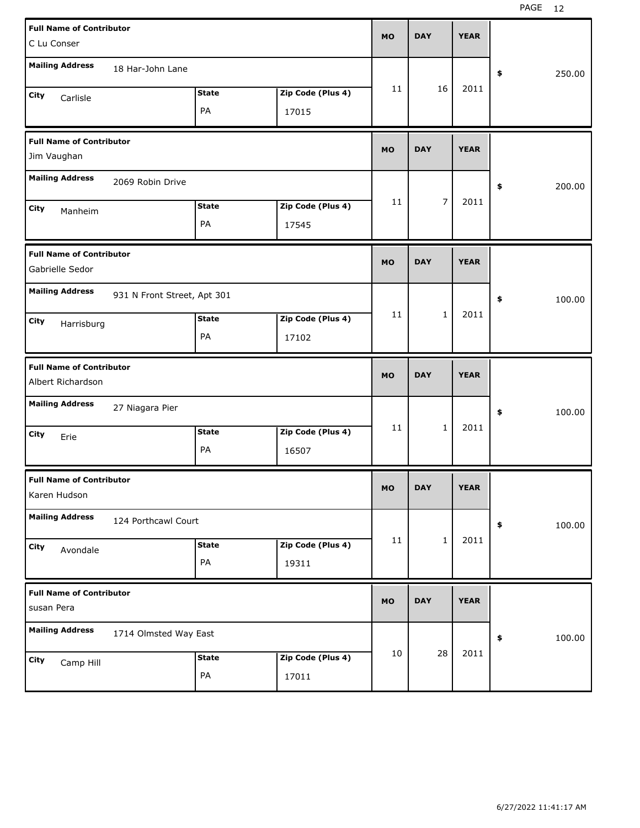| <b>Full Name of Contributor</b><br>C Lu Conser        |              |                   | <b>MO</b> | <b>DAY</b>     | <b>YEAR</b> |              |
|-------------------------------------------------------|--------------|-------------------|-----------|----------------|-------------|--------------|
| <b>Mailing Address</b><br>18 Har-John Lane            |              |                   |           |                |             | 250.00<br>\$ |
| City<br>Carlisle                                      | <b>State</b> | Zip Code (Plus 4) | 11        | 16             | 2011        |              |
|                                                       | PA           | 17015             |           |                |             |              |
| <b>Full Name of Contributor</b><br>Jim Vaughan        |              |                   | <b>MO</b> | <b>DAY</b>     | <b>YEAR</b> |              |
| <b>Mailing Address</b><br>2069 Robin Drive            |              |                   |           |                |             | 200.00<br>\$ |
| City<br>Manheim                                       | <b>State</b> | Zip Code (Plus 4) | 11        | $\overline{7}$ | 2011        |              |
|                                                       | PA           | 17545             |           |                |             |              |
| <b>Full Name of Contributor</b><br>Gabrielle Sedor    |              |                   | <b>MO</b> | <b>DAY</b>     | <b>YEAR</b> |              |
| <b>Mailing Address</b><br>931 N Front Street, Apt 301 |              |                   |           |                |             | 100.00<br>\$ |
| City<br>Harrisburg                                    | <b>State</b> | Zip Code (Plus 4) | 11        | $\mathbf 1$    | 2011        |              |
|                                                       | PA           | 17102             |           |                |             |              |
|                                                       |              |                   |           |                |             |              |
| <b>Full Name of Contributor</b><br>Albert Richardson  |              |                   | <b>MO</b> | <b>DAY</b>     | <b>YEAR</b> |              |
| <b>Mailing Address</b><br>27 Niagara Pier             |              |                   |           |                |             | \$<br>100.00 |
| City<br>Erie                                          | <b>State</b> | Zip Code (Plus 4) | 11        | $\mathbf 1$    | 2011        |              |
|                                                       | PA           | 16507             |           |                |             |              |
| <b>Full Name of Contributor</b><br>Karen Hudson       |              |                   | <b>MO</b> | <b>DAY</b>     | <b>YEAR</b> |              |
| <b>Mailing Address</b><br>124 Porthcawl Court         |              |                   |           |                |             | 100.00<br>\$ |
| City<br>Avondale                                      | <b>State</b> | Zip Code (Plus 4) | 11        | $\mathbf 1$    | 2011        |              |
|                                                       | PA           | 19311             |           |                |             |              |
| <b>Full Name of Contributor</b><br>susan Pera         |              |                   | <b>MO</b> | <b>DAY</b>     | <b>YEAR</b> |              |
| <b>Mailing Address</b><br>1714 Olmsted Way East       |              |                   |           |                |             | 100.00<br>\$ |
| City<br>Camp Hill                                     | <b>State</b> | Zip Code (Plus 4) | 10        | 28             | 2011        |              |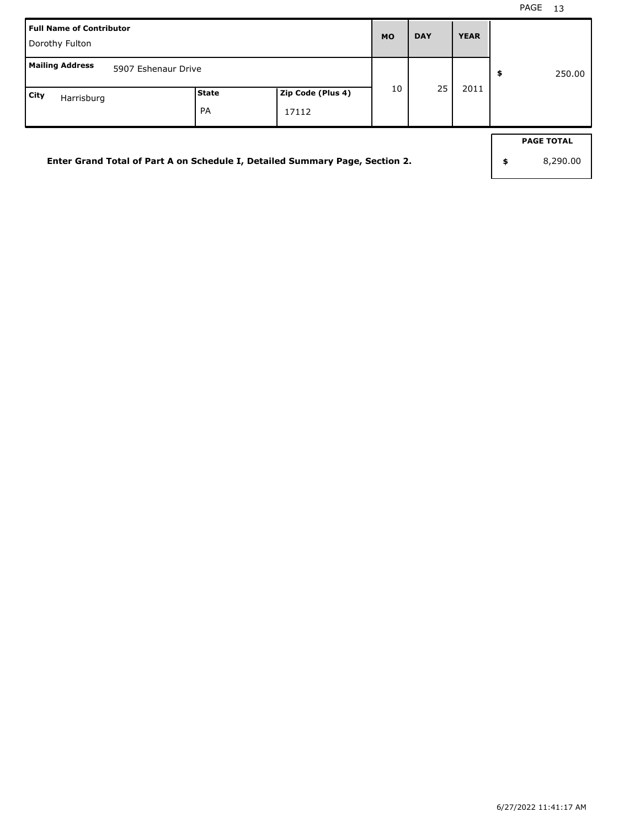| l Full Name of Contributor<br>Dorothy Fulton                                 |             |                            | <b>MO</b> | <b>DAY</b> | <b>YEAR</b> |                                     |
|------------------------------------------------------------------------------|-------------|----------------------------|-----------|------------|-------------|-------------------------------------|
| Mailing Address<br>5907 Eshenaur Drive                                       |             |                            |           |            |             | \$<br>250.00                        |
| City<br>Harrisburg                                                           | State<br>PA | Zip Code (Plus 4)<br>17112 | 10        | 25         | 2011        |                                     |
| Enter Grand Total of Part A on Schedule I, Detailed Summary Page, Section 2. |             |                            |           |            |             | \$<br><b>PAGE TOTAL</b><br>8,290.00 |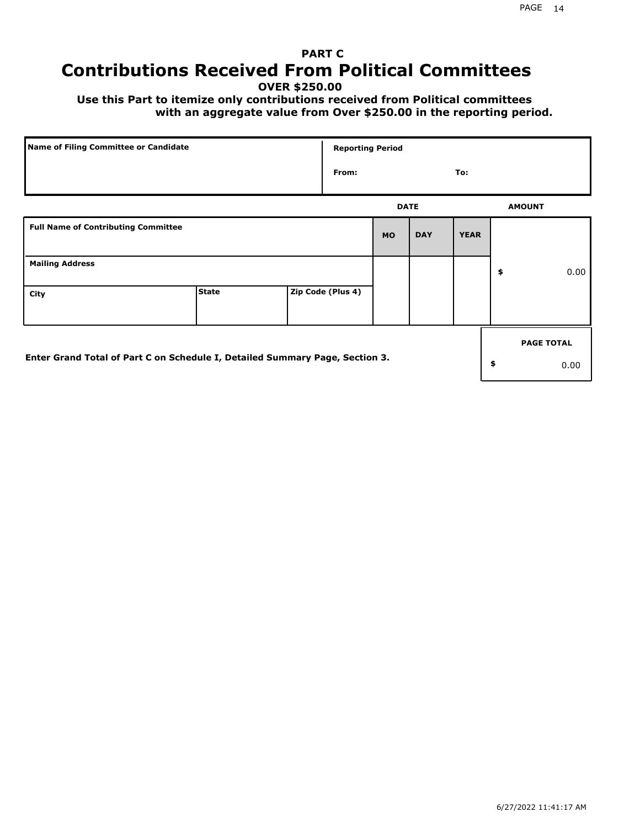# **PART C Contributions Received From Political Committees**

**OVER \$250.00**

 **Use this Part to itemize only contributions received from Political committees with an aggregate value from Over \$250.00 in the reporting period.**

| Name of Filing Committee or Candidate                                        |              |  | <b>Reporting Period</b> |             |            |             |    |                   |  |
|------------------------------------------------------------------------------|--------------|--|-------------------------|-------------|------------|-------------|----|-------------------|--|
|                                                                              |              |  | From:                   |             |            | To:         |    |                   |  |
|                                                                              |              |  |                         | <b>DATE</b> |            |             |    | <b>AMOUNT</b>     |  |
| <b>Full Name of Contributing Committee</b>                                   |              |  |                         | <b>MO</b>   | <b>DAY</b> | <b>YEAR</b> |    |                   |  |
| <b>Mailing Address</b>                                                       |              |  |                         |             |            |             | \$ | 0.00              |  |
| City                                                                         | <b>State</b> |  | Zip Code (Plus 4)       |             |            |             |    |                   |  |
|                                                                              |              |  |                         |             |            |             |    | <b>PAGE TOTAL</b> |  |
| Enter Grand Total of Part C on Schedule I, Detailed Summary Page, Section 3. |              |  |                         |             |            |             | \$ | 0.00              |  |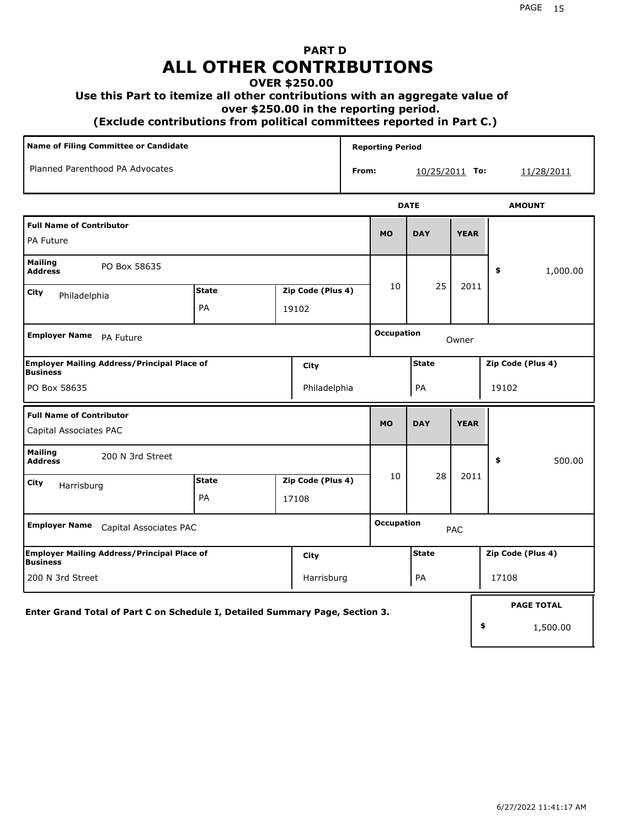# **PART D ALL OTHER CONTRIBUTIONS**

#### **OVER \$250.00**

#### **Use this Part to itemize all other contributions with an aggregate value of**

 **over \$250.00 in the reporting period.**

 **(Exclude contributions from political committees reported in Part C.)** 

| Name of Filing Committee or Candidate                                         |                    |  |                            | <b>Reporting Period</b> |                            |              |                   |                   |          |  |
|-------------------------------------------------------------------------------|--------------------|--|----------------------------|-------------------------|----------------------------|--------------|-------------------|-------------------|----------|--|
| Planned Parenthood PA Advocates                                               |                    |  | From:                      | 10/25/2011 To:          |                            |              | <u>11/28/2011</u> |                   |          |  |
|                                                                               |                    |  |                            |                         | <b>DATE</b>                |              | <b>AMOUNT</b>     |                   |          |  |
| <b>Full Name of Contributor</b><br>PA Future                                  |                    |  |                            |                         | <b>MO</b>                  | <b>DAY</b>   | <b>YEAR</b>       |                   |          |  |
| <b>Mailing</b><br>PO Box 58635<br><b>Address</b>                              |                    |  |                            |                         |                            |              | \$                | 1,000.00          |          |  |
| City<br>Philadelphia                                                          | <b>State</b><br>PA |  | Zip Code (Plus 4)<br>19102 |                         | 10                         | 25           | 2011              |                   |          |  |
| <b>Employer Name</b><br>PA Future                                             |                    |  |                            |                         | <b>Occupation</b><br>Owner |              |                   |                   |          |  |
| <b>Employer Mailing Address/Principal Place of</b><br>City<br><b>Business</b> |                    |  |                            |                         | <b>State</b>               |              | Zip Code (Plus 4) |                   |          |  |
| PO Box 58635                                                                  |                    |  | Philadelphia               |                         | PA                         |              |                   | 19102             |          |  |
| <b>Full Name of Contributor</b><br>Capital Associates PAC                     |                    |  |                            | <b>MO</b>               | <b>DAY</b>                 | <b>YEAR</b>  |                   |                   |          |  |
| <b>Mailing</b><br>200 N 3rd Street<br><b>Address</b>                          |                    |  |                            |                         |                            |              |                   | \$                | 500.00   |  |
| City<br>Harrisburg                                                            | <b>State</b><br>PA |  | Zip Code (Plus 4)<br>17108 |                         | 10                         | 28           | 2011              |                   |          |  |
| <b>Employer Name</b><br>Capital Associates PAC                                |                    |  |                            |                         | <b>Occupation</b><br>PAC   |              |                   |                   |          |  |
| Employer Mailing Address/Principal Place of<br>City<br><b>Business</b>        |                    |  |                            |                         |                            | <b>State</b> |                   | Zip Code (Plus 4) |          |  |
| 200 N 3rd Street<br>Harrisburg                                                |                    |  |                            |                         | PA                         |              | 17108             |                   |          |  |
| Enter Grand Total of Part C on Schedule I, Detailed Summary Page, Section 3.  |                    |  |                            |                         |                            |              | <b>PAGE TOTAL</b> |                   |          |  |
|                                                                               |                    |  |                            |                         |                            |              |                   | \$                | 1,500.00 |  |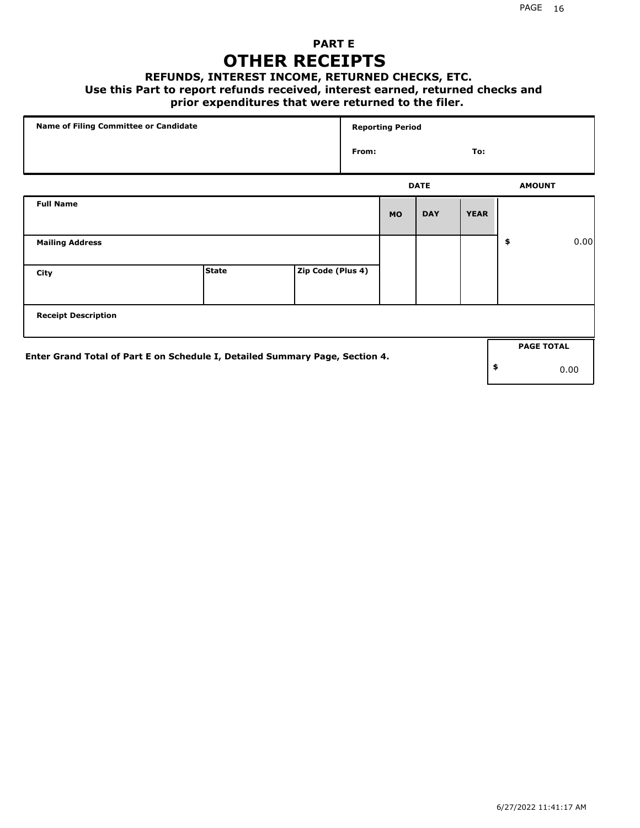## **PART E OTHER RECEIPTS**

### **REFUNDS, INTEREST INCOME, RETURNED CHECKS, ETC.**

### **Use this Part to report refunds received, interest earned, returned checks and**

### **prior expenditures that were returned to the filer.**

| Name of Filing Committee or Candidate                                        |              |                   | <b>Reporting Period</b> |           |             |             |    |                   |      |
|------------------------------------------------------------------------------|--------------|-------------------|-------------------------|-----------|-------------|-------------|----|-------------------|------|
|                                                                              |              |                   | From:                   |           |             | To:         |    |                   |      |
|                                                                              |              |                   |                         |           | <b>DATE</b> |             |    | <b>AMOUNT</b>     |      |
| <b>Full Name</b>                                                             |              |                   |                         | <b>MO</b> | <b>DAY</b>  | <b>YEAR</b> |    |                   |      |
| <b>Mailing Address</b>                                                       |              |                   |                         |           |             |             | \$ |                   | 0.00 |
| City                                                                         | <b>State</b> | Zip Code (Plus 4) |                         |           |             |             |    |                   |      |
| <b>Receipt Description</b>                                                   |              |                   |                         |           |             |             |    |                   |      |
|                                                                              |              |                   |                         |           |             |             |    | <b>PAGE TOTAL</b> |      |
| Enter Grand Total of Part E on Schedule I, Detailed Summary Page, Section 4. |              |                   |                         |           |             |             | \$ |                   | 0.00 |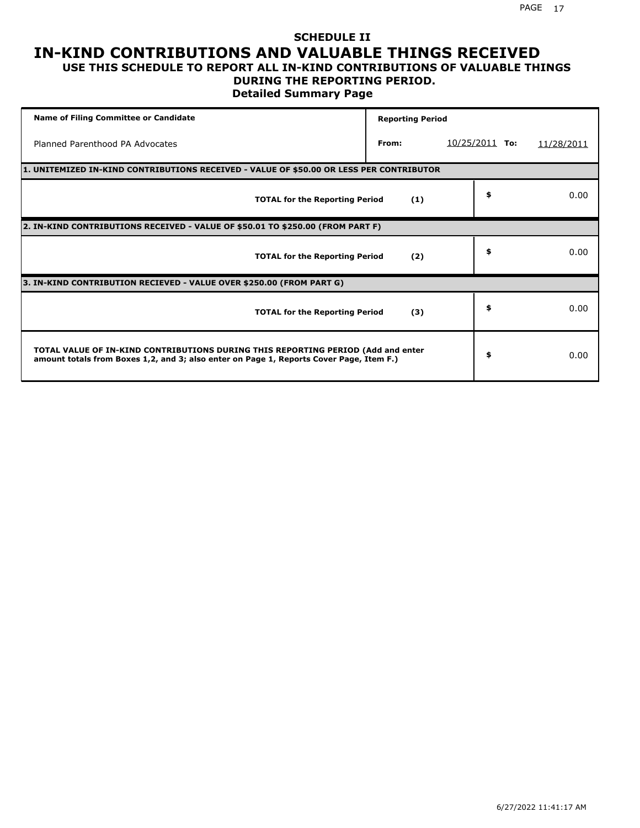### **SCHEDULE II IN-KIND CONTRIBUTIONS AND VALUABLE THINGS RECEIVED USE THIS SCHEDULE TO REPORT ALL IN-KIND CONTRIBUTIONS OF VALUABLE THINGS**

# **DURING THE REPORTING PERIOD.**

**Detailed Summary Page**

| <b>Name of Filing Committee or Candidate</b>                                                                                                                                | <b>Reporting Period</b> |                          |            |  |  |  |  |  |  |
|-----------------------------------------------------------------------------------------------------------------------------------------------------------------------------|-------------------------|--------------------------|------------|--|--|--|--|--|--|
| Planned Parenthood PA Advocates                                                                                                                                             | From:                   | <u>10/25/2011</u><br>To: | 11/28/2011 |  |  |  |  |  |  |
| 1. UNITEMIZED IN-KIND CONTRIBUTIONS RECEIVED - VALUE OF \$50.00 OR LESS PER CONTRIBUTOR                                                                                     |                         |                          |            |  |  |  |  |  |  |
| <b>TOTAL for the Reporting Period</b>                                                                                                                                       | (1)                     | \$                       | 0.00       |  |  |  |  |  |  |
| 2. IN-KIND CONTRIBUTIONS RECEIVED - VALUE OF \$50.01 TO \$250.00 (FROM PART F)                                                                                              |                         |                          |            |  |  |  |  |  |  |
| <b>TOTAL for the Reporting Period</b>                                                                                                                                       | (2)                     | \$                       | 0.00       |  |  |  |  |  |  |
| 3. IN-KIND CONTRIBUTION RECIEVED - VALUE OVER \$250.00 (FROM PART G)                                                                                                        |                         |                          |            |  |  |  |  |  |  |
| <b>TOTAL for the Reporting Period</b>                                                                                                                                       | (3)                     | \$                       | 0.00       |  |  |  |  |  |  |
| TOTAL VALUE OF IN-KIND CONTRIBUTIONS DURING THIS REPORTING PERIOD (Add and enter<br>amount totals from Boxes 1,2, and 3; also enter on Page 1, Reports Cover Page, Item F.) |                         | \$                       | 0.00       |  |  |  |  |  |  |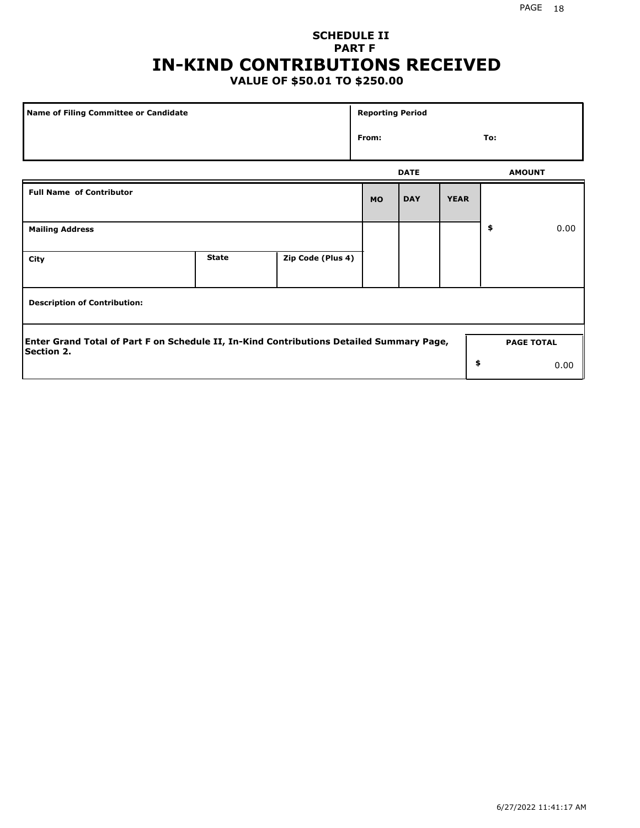# **SCHEDULE II PART F IN-KIND CONTRIBUTIONS RECEIVED**

# **VALUE OF \$50.01 TO \$250.00**

| <b>Name of Filing Committee or Candidate</b>                                                                                       |              |                   | <b>Reporting Period</b> |             |             |               |      |  |
|------------------------------------------------------------------------------------------------------------------------------------|--------------|-------------------|-------------------------|-------------|-------------|---------------|------|--|
|                                                                                                                                    |              |                   | From:                   |             |             | To:           |      |  |
|                                                                                                                                    |              |                   |                         | <b>DATE</b> |             | <b>AMOUNT</b> |      |  |
| <b>Full Name of Contributor</b>                                                                                                    |              |                   | <b>MO</b>               | <b>DAY</b>  | <b>YEAR</b> |               |      |  |
| <b>Mailing Address</b>                                                                                                             |              |                   |                         |             |             | \$            | 0.00 |  |
| City                                                                                                                               | <b>State</b> | Zip Code (Plus 4) |                         |             |             |               |      |  |
| <b>Description of Contribution:</b>                                                                                                |              |                   |                         |             |             |               |      |  |
| Enter Grand Total of Part F on Schedule II, In-Kind Contributions Detailed Summary Page,<br><b>PAGE TOTAL</b><br><b>Section 2.</b> |              |                   |                         |             |             |               |      |  |
|                                                                                                                                    |              |                   |                         |             | \$          |               | 0.00 |  |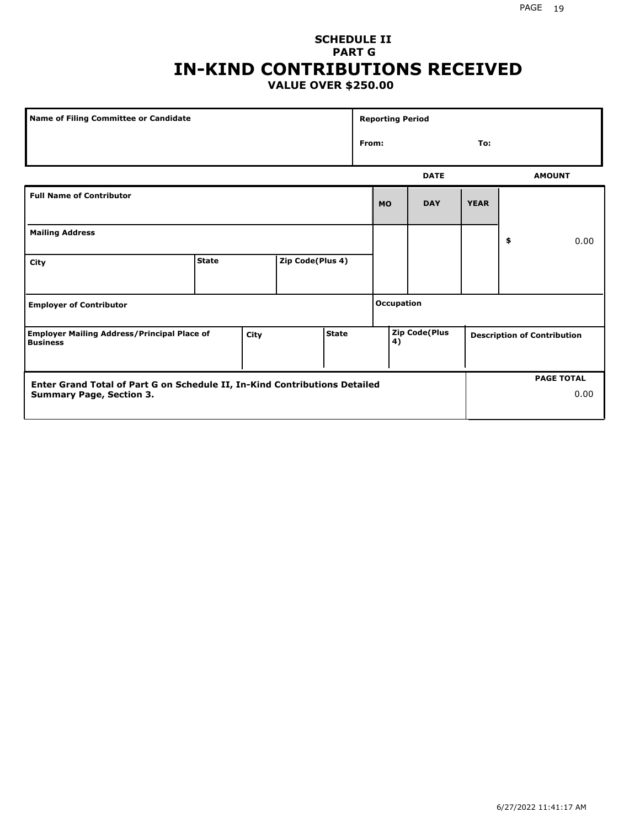### **SCHEDULE II PART G IN-KIND CONTRIBUTIONS RECEIVED VALUE OVER \$250.00**

| Name of Filing Committee or Candidate                                 |              |                      |                  | <b>Reporting Period</b>    |                   |           |                                    |             |    |               |
|-----------------------------------------------------------------------|--------------|----------------------|------------------|----------------------------|-------------------|-----------|------------------------------------|-------------|----|---------------|
|                                                                       |              |                      |                  |                            | From:<br>To:      |           |                                    |             |    |               |
|                                                                       |              |                      |                  |                            |                   |           | <b>DATE</b>                        |             |    | <b>AMOUNT</b> |
| <b>Full Name of Contributor</b>                                       |              |                      |                  |                            |                   | <b>MO</b> | <b>DAY</b>                         | <b>YEAR</b> |    |               |
| <b>Mailing Address</b>                                                |              |                      |                  |                            |                   |           |                                    |             | \$ | 0.00          |
| City                                                                  | <b>State</b> |                      | Zip Code(Plus 4) |                            |                   |           |                                    |             |    |               |
| <b>Employer of Contributor</b>                                        |              |                      |                  |                            | <b>Occupation</b> |           |                                    |             |    |               |
| <b>Employer Mailing Address/Principal Place of</b><br><b>Business</b> |              | <b>State</b><br>City |                  | <b>Zip Code(Plus</b><br>4) |                   |           | <b>Description of Contribution</b> |             |    |               |

| Enter Grand Total of Part G on Schedule II, In-Kind Contributions Detailed |  | <b>PAGE TOTAL</b> |
|----------------------------------------------------------------------------|--|-------------------|
| <b>Summary Page, Section 3.</b>                                            |  | 0.00              |
|                                                                            |  |                   |